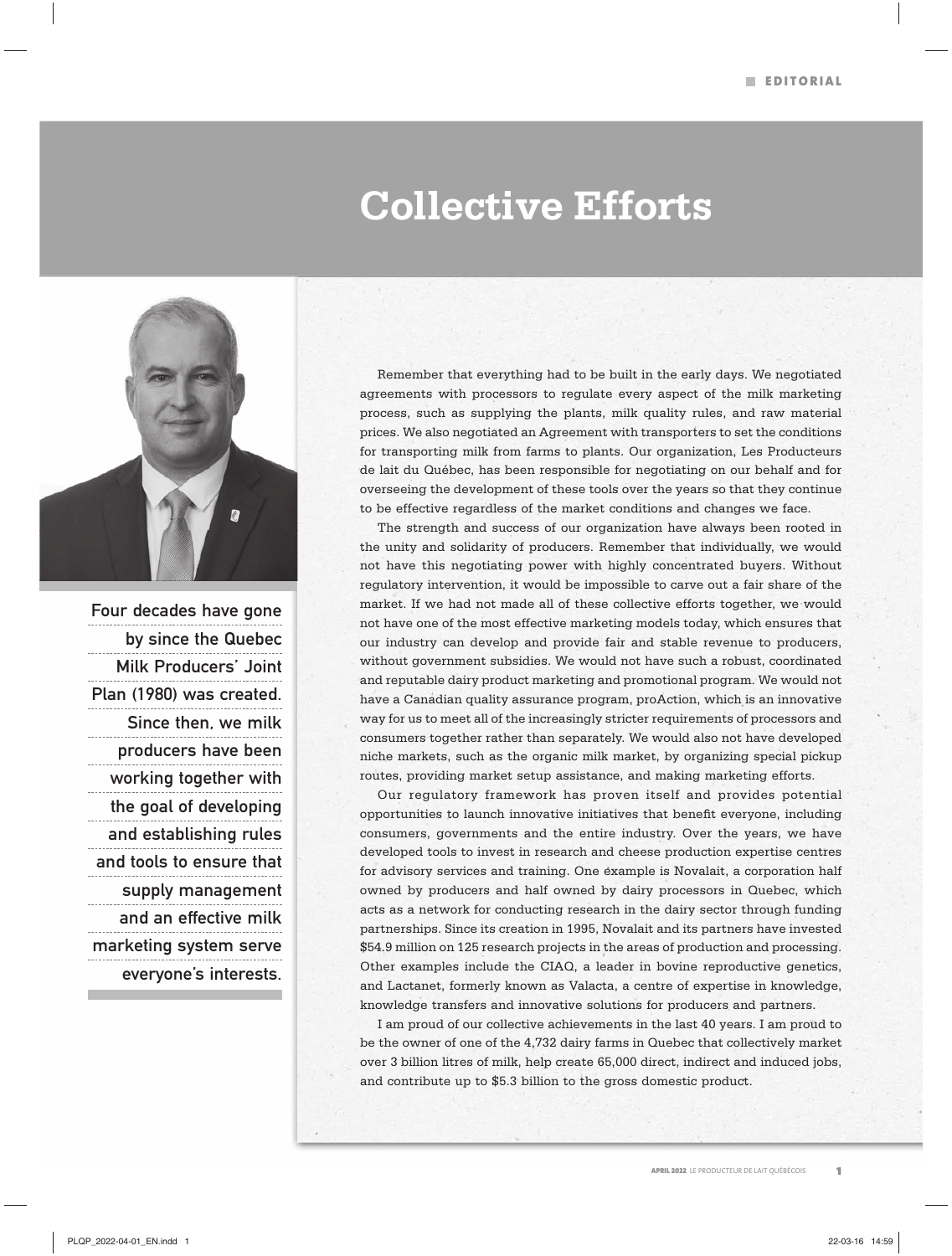## **Collective Efforts**



Four decades have gone by since the Quebec Milk Producers' Joint Plan (1980) was created. Since then, we milk producers have been working together with the goal of developing and establishing rules and tools to ensure that supply management and an effective milk marketing system serve everyone's interests.

Remember that everything had to be built in the early days. We negotiated agreements with processors to regulate every aspect of the milk marketing process, such as supplying the plants, milk quality rules, and raw material prices. We also negotiated an Agreement with transporters to set the conditions for transporting milk from farms to plants. Our organization, Les Producteurs de lait du Québec, has been responsible for negotiating on our behalf and for overseeing the development of these tools over the years so that they continue to be effective regardless of the market conditions and changes we face.

The strength and success of our organization have always been rooted in the unity and solidarity of producers. Remember that individually, we would not have this negotiating power with highly concentrated buyers. Without regulatory intervention, it would be impossible to carve out a fair share of the market. If we had not made all of these collective efforts together, we would not have one of the most effective marketing models today, which ensures that our industry can develop and provide fair and stable revenue to producers, without government subsidies. We would not have such a robust, coordinated and reputable dairy product marketing and promotional program. We would not have a Canadian quality assurance program, proAction, which is an innovative way for us to meet all of the increasingly stricter requirements of processors and consumers together rather than separately. We would also not have developed niche markets, such as the organic milk market, by organizing special pickup routes, providing market setup assistance, and making marketing efforts.

Our regulatory framework has proven itself and provides potential opportunities to launch innovative initiatives that benefit everyone, including consumers, governments and the entire industry. Over the years, we have developed tools to invest in research and cheese production expertise centres for advisory services and training. One example is Novalait, a corporation half owned by producers and half owned by dairy processors in Quebec, which acts as a network for conducting research in the dairy sector through funding partnerships. Since its creation in 1995, Novalait and its partners have invested \$54.9 million on 125 research projects in the areas of production and processing. Other examples include the CIAQ, a leader in bovine reproductive genetics, and Lactanet, formerly known as Valacta, a centre of expertise in knowledge, knowledge transfers and innovative solutions for producers and partners.

I am proud of our collective achievements in the last 40 years. I am proud to be the owner of one of the 4,732 dairy farms in Quebec that collectively market over 3 billion litres of milk, help create 65,000 direct, indirect and induced jobs, and contribute up to \$5.3 billion to the gross domestic product.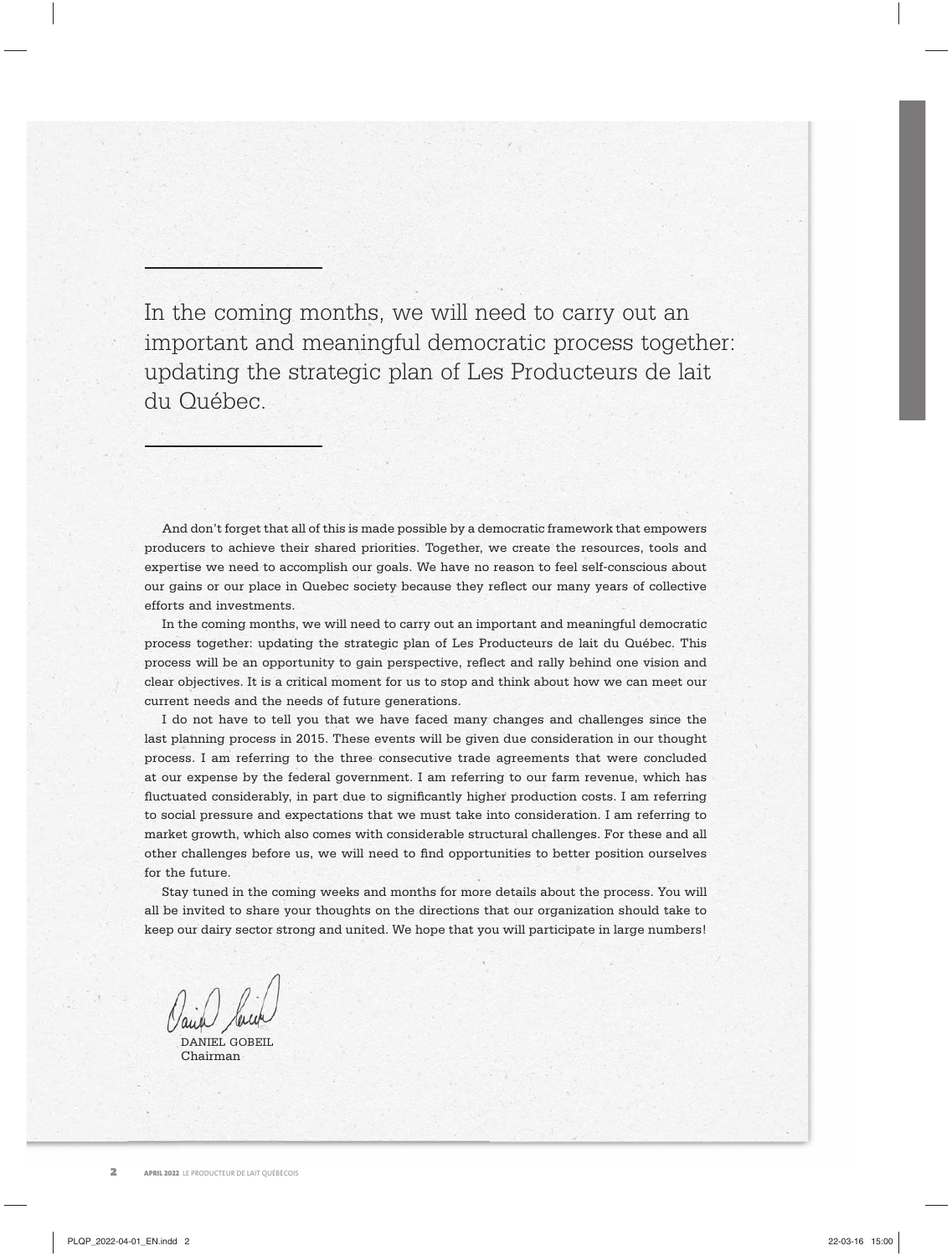In the coming months, we will need to carry out an important and meaningful democratic process together: updating the strategic plan of Les Producteurs de lait du Québec.

And don't forget that all of this is made possible by a democratic framework that empowers producers to achieve their shared priorities. Together, we create the resources, tools and expertise we need to accomplish our goals. We have no reason to feel self-conscious about our gains or our place in Quebec society because they reflect our many years of collective efforts and investments.

In the coming months, we will need to carry out an important and meaningful democratic process together: updating the strategic plan of Les Producteurs de lait du Québec. This process will be an opportunity to gain perspective, reflect and rally behind one vision and clear objectives. It is a critical moment for us to stop and think about how we can meet our current needs and the needs of future generations.

I do not have to tell you that we have faced many changes and challenges since the last planning process in 2015. These events will be given due consideration in our thought process. I am referring to the three consecutive trade agreements that were concluded at our expense by the federal government. I am referring to our farm revenue, which has fluctuated considerably, in part due to significantly higher production costs. I am referring to social pressure and expectations that we must take into consideration. I am referring to market growth, which also comes with considerable structural challenges. For these and all other challenges before us, we will need to find opportunities to better position ourselves for the future.

Stay tuned in the coming weeks and months for more details about the process. You will all be invited to share your thoughts on the directions that our organization should take to keep our dairy sector strong and united. We hope that you will participate in large numbers!

DANIEL GOBEIL Chairman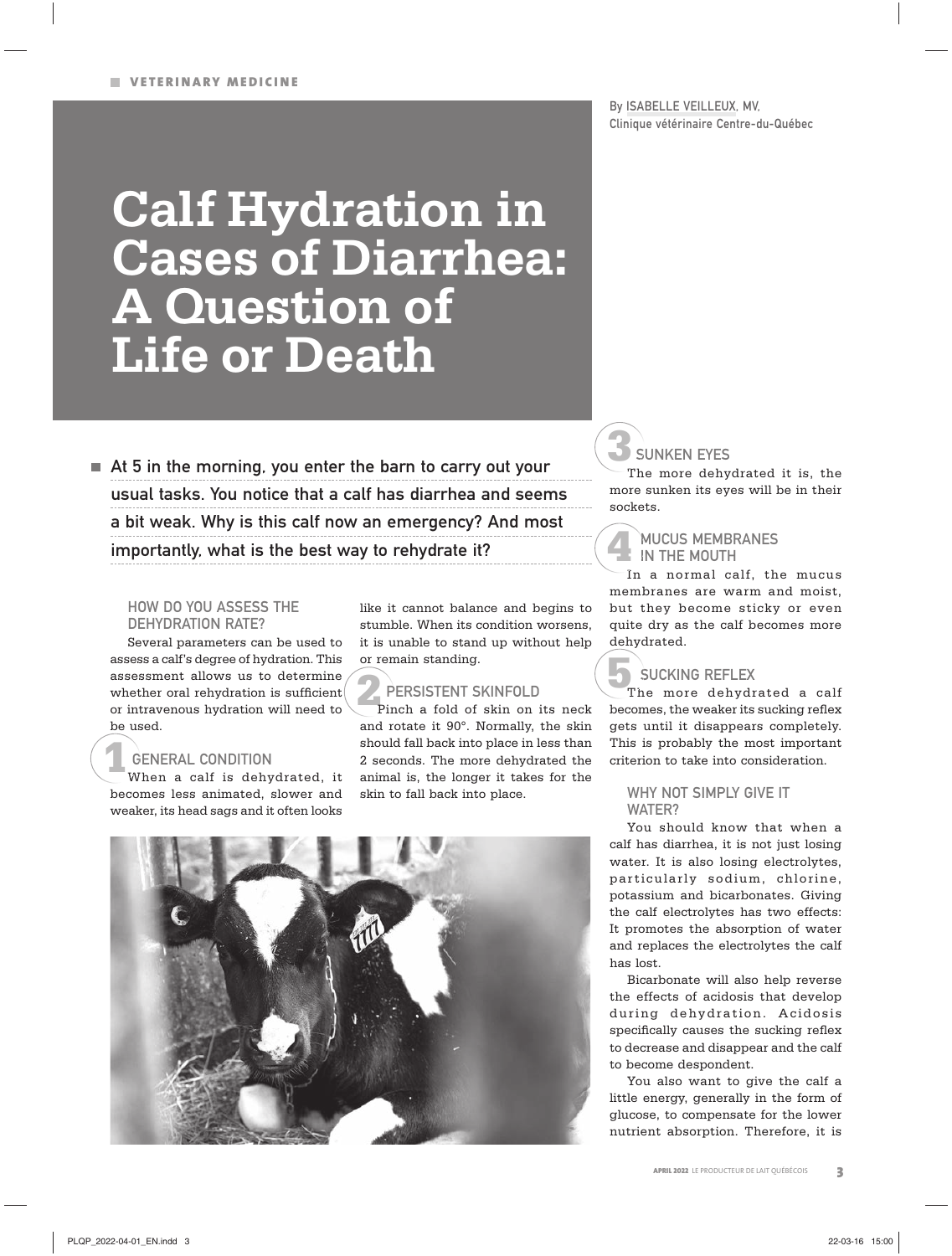By ISABELLE VEILLEUX, MV, Clinique vétérinaire Centre-du-Québec

# **Calf Hydration in Cases of Diarrhea: A Question of Life or Death**

 $\blacksquare$  At 5 in the morning, you enter the barn to carry out your usual tasks. You notice that a calf has diarrhea and seems a bit weak. Why is this calf now an emergency? And most importantly, what is the best way to rehydrate it?

#### HOW DO YOU ASSESS THE DEHYDRATION RATE?

Several parameters can be used to assess a calf's degree of hydration. This assessment allows us to determine whether oral rehydration is sufficient or intravenous hydration will need to be used.

### GENERAL CONDITION

When a calf is dehydrated, it W becomes less animated, slower and weaker, its head sags and it often looks **1**G

like it cannot balance and begins to stumble. When its condition worsens, it is unable to stand up without help or remain standing.

## PERSISTENT SKINFOLD

**2** Pinch a fold of skin on its neck and rotate it 90°. Normally, the skin should fall back into place in less than 2 seconds. The more dehydrated the animal is, the longer it takes for the skin to fall back into place.



## SUNKEN EYES **3** S

The more dehydrated it is, the T more sunken its eyes will be in their sockets.

#### **MUCUS MEMBRANES**  $\blacksquare$  IN THE MOUTH **4**

In a normal calf, the mucus I membranes are warm and moist, but they become sticky or even quite dry as the calf becomes more dehydrated.

 $\,$  SUCKING REFLEX

The more dehydrated a calf becomes, the weaker its sucking reflex gets until it disappears completely. This is probably the most important criterion to take into consideration. **5**

#### WHY NOT SIMPLY GIVE IT WATFR?

You should know that when a calf has diarrhea, it is not just losing water. It is also losing electrolytes, par ticularly sodium, chlorine, potassium and bicarbonates. Giving the calf electrolytes has two effects: It promotes the absorption of water and replaces the electrolytes the calf has lost.

Bicarbonate will also help reverse the effects of acidosis that develop during dehydration. Acidosis specifically causes the sucking reflex to decrease and disappear and the calf to become despondent.

You also want to give the calf a little energy, generally in the form of glucose, to compensate for the lower nutrient absorption. Therefore, it is